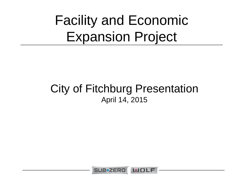Facility and Economic Expansion Project

#### City of Fitchburg Presentation April 14, 2015

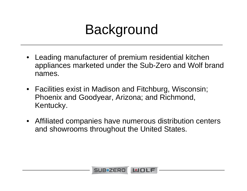#### Background

- Leading manufacturer of premium residential kitchen appliances marketed under the Sub-Zero and Wolf brand names.
- Facilities exist in Madison and Fitchburg, Wisconsin; Phoenix and Goodyear, Arizona; and Richmond, Kentucky.
- Affiliated companies have numerous distribution centers and showrooms throughout the United States.

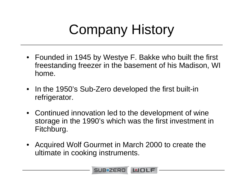## Company History

- Founded in 1945 by Westye F. Bakke who built the first freestanding freezer in the basement of his Madison, WI home.
- • In the 1950's Sub-Zero developed the first built-in refrigerator.
- Continued innovation led to the development of wine storage in the 1990's which was the first investment in Fitchburg.
- • Acquired Wolf Gourmet in March 2000 to create the ultimate in cooking instruments.

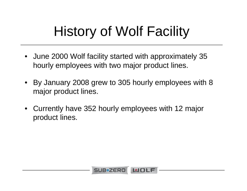## History of Wolf Facility

- June 2000 Wolf facility started with approximately 35 hourly employees with two major product lines.
- By January 2008 grew to 305 hourly employees with 8 major product lines.
- Currently have 352 hourly employees with 12 major product lines.

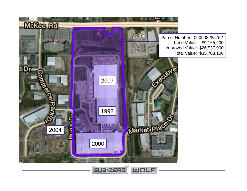

SUB**\*ZERO** MOLF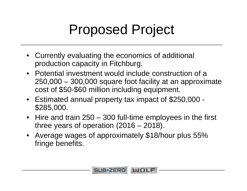#### Proposed Project

- Currently evaluating the economics of additional production capacity in Fitchburg.
- Potential investment would include construction of a 250,000 – 300,000 square foot facility at an approximate cost of \$50-\$60 million including equipment.
- Estimated annual property tax impact of \$250,000 \$285,000.
- Hire and train 250 300 full-time employees in the first three years of operation (2016 – 2018).
- • Average wages of approximately \$18/hour plus 55% fringe benefits.

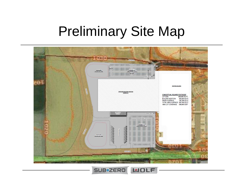# Preliminary Site Map



SUB**\*ZERO** WOLF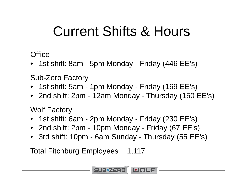#### Current Shifts & Hours

#### **Office**

• 1st shift: 8am - 5pm Monday - Friday (446 EE's)

Sub-Zero Factory

- 1st shift: 5am 1pm Monday Friday (169 EE's)
- 2nd shift: 2pm 12am Monday Thursday (150 EE's)

Wolf Factory

- 1st shift: 6am 2pm Monday Friday (230 EE's)
- 2nd shift: 2pm 10pm Monday Friday (67 EE's)
- 3rd shift: 10pm 6am Sunday Thursday (55 EE's)

Total Fitchburg Employees = 1,117

SUB\*ZERO LUOLF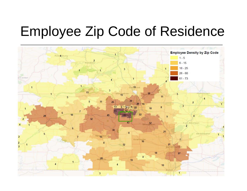#### Employee Zip Code of Residence